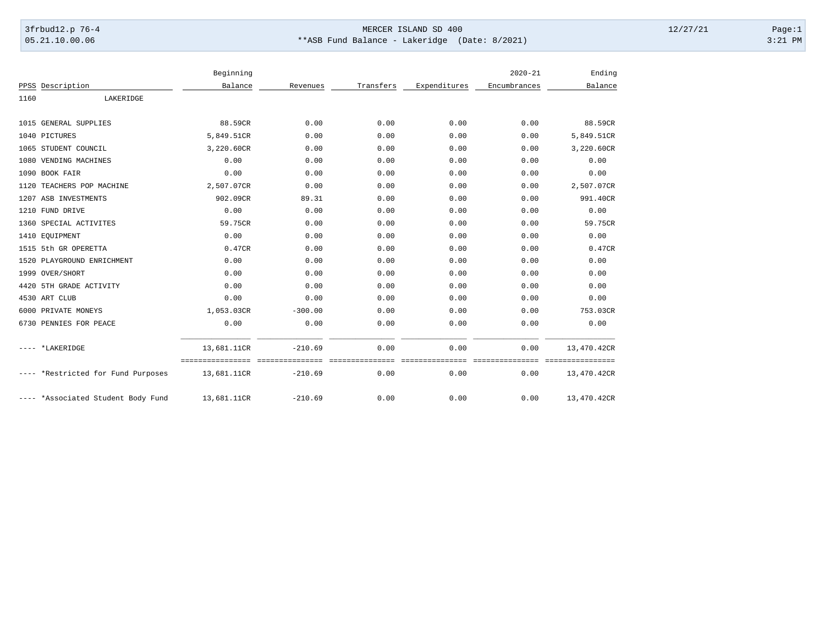## 3frbud12.p 76-4 Page:1 05.21.10.00.06 \*\*ASB Fund Balance - Lakeridge (Date: 8/2021) 3:21 PM

|      |                                    | Beginning                                       |           |                         |                          | $2020 - 21$              | Ending                          |
|------|------------------------------------|-------------------------------------------------|-----------|-------------------------|--------------------------|--------------------------|---------------------------------|
|      | PPSS Description                   | Balance                                         | Revenues  | Transfers               | Expenditures             | Encumbrances             | Balance                         |
| 1160 | LAKERIDGE                          |                                                 |           |                         |                          |                          |                                 |
|      |                                    |                                                 |           |                         |                          |                          |                                 |
| 1015 | <b>GENERAL SUPPLIES</b>            | 88.59CR                                         | 0.00      | 0.00                    | 0.00                     | 0.00                     | 88.59CR                         |
|      | 1040 PICTURES                      | 5,849.51CR                                      | 0.00      | 0.00                    | 0.00                     | 0.00                     | 5,849.51CR                      |
|      | 1065 STUDENT COUNCIL               | 3,220.60CR                                      | 0.00      | 0.00                    | 0.00                     | 0.00                     | 3,220.60CR                      |
|      | 1080 VENDING MACHINES              | 0.00                                            | 0.00      | 0.00                    | 0.00                     | 0.00                     | 0.00                            |
| 1090 | BOOK FAIR                          | 0.00                                            | 0.00      | 0.00                    | 0.00                     | 0.00                     | 0.00                            |
| 1120 | TEACHERS POP MACHINE               | 2,507.07CR                                      | 0.00      | 0.00                    | 0.00                     | 0.00                     | 2,507.07CR                      |
|      | 1207 ASB INVESTMENTS               | 902.09CR                                        | 89.31     | 0.00                    | 0.00                     | 0.00                     | 991.40CR                        |
| 1210 | FUND DRIVE                         | 0.00                                            | 0.00      | 0.00                    | 0.00                     | 0.00                     | 0.00                            |
|      | 1360 SPECIAL ACTIVITES             | 59.75CR                                         | 0.00      | 0.00                    | 0.00                     | 0.00                     | 59.75CR                         |
|      | 1410 EOUIPMENT                     | 0.00                                            | 0.00      | 0.00                    | 0.00                     | 0.00                     | 0.00                            |
|      | 1515 5th GR OPERETTA               | 0.47CR                                          | 0.00      | 0.00                    | 0.00                     | 0.00                     | 0.47CR                          |
|      | 1520 PLAYGROUND ENRICHMENT         | 0.00                                            | 0.00      | 0.00                    | 0.00                     | 0.00                     | 0.00                            |
|      | 1999 OVER/SHORT                    | 0.00                                            | 0.00      | 0.00                    | 0.00                     | 0.00                     | 0.00                            |
| 4420 | 5TH GRADE ACTIVITY                 | 0.00                                            | 0.00      | 0.00                    | 0.00                     | 0.00                     | 0.00                            |
|      | 4530 ART CLUB                      | 0.00                                            | 0.00      | 0.00                    | 0.00                     | 0.00                     | 0.00                            |
|      | 6000 PRIVATE MONEYS                | 1,053.03CR                                      | $-300.00$ | 0.00                    | 0.00                     | 0.00                     | 753.03CR                        |
|      | 6730 PENNIES FOR PEACE             | 0.00                                            | 0.00      | 0.00                    | 0.00                     | 0.00                     | 0.00                            |
|      | ---- *LAKERIDGE                    | 13,681.11CR                                     | $-210.69$ | 0.00                    | 0.00                     | 0.00                     | 13,470.42CR                     |
|      | ---- *Restricted for Fund Purposes | ---------------- ---------------<br>13,681.11CR | $-210.69$ | ===============<br>0.00 | ================<br>0.00 | ----------------<br>0.00 | ================<br>13,470.42CR |
|      | ---- *Associated Student Body Fund | 13,681.11CR                                     | $-210.69$ | 0.00                    | 0.00                     | 0.00                     | 13,470.42CR                     |